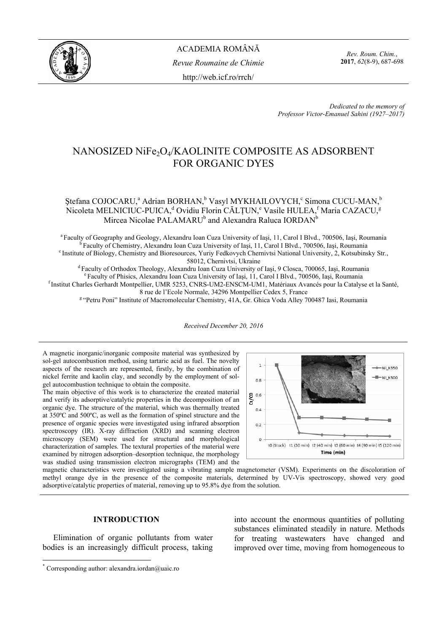

ACADEMIA ROMÂNĂ *Revue Roumaine de Chimie*  http://web.icf.ro/rrch/

*Rev. Roum. Chim.*, **2017**, *62*(8-9), 687-698

*Dedicated to the memory of Professor Victor-Emanuel Sahini (1927–2017)*

# NANOSIZED NiFe<sub>2</sub>O<sub>4</sub>/KAOLINITE COMPOSITE AS ADSORBENT FOR ORGANIC DYES

## Ştefana COJOCARU,<sup>a</sup> Adrian BORHAN,<sup>b</sup> Vasyl MYKHAILOVYCH,<sup>c</sup> Simona CUCU-MAN,<sup>b</sup> Nicoleta MELNICIUC-PUICA,<sup>d</sup> Ovidiu Florin CĂLȚUN,<sup>e</sup> Vasile HULEA,<sup>f</sup> Maria CAZACU,<sup>g</sup> Mircea Nicolae PALAMARU<sup>b</sup> and Alexandra Raluca IORDAN<sup>b</sup>

<sup>a</sup> Faculty of Geography and Geology, Alexandru Ioan Cuza University of Iași, 11, Carol I Blvd., 700506, Iași, Roumania<br><sup>b</sup> Faculty of Chemistry, Alexandru Ioan Cuza University of Iași, 11, Carol I Blvd., 700506, Iași, Rou

58012, Chernivtsi, Ukraine<br>
<sup>d</sup> Faculty of Orthodox Theology, Alexandru Ioan Cuza University of Iași, 9 Closca, 700065, Iași, Roumania<br>
<sup>e</sup> Faculty of Phisics, Alexandru Ioan Cuza University of Iași, 11, Carol I Blvd., 700

<sup>8</sup> "Petru Poni" Institute of Macromolecular Chemistry, 41A, Gr. Ghica Voda Alley 700487 Iasi, Roumania

*Received December 20, 2016* 

A magnetic inorganic/inorganic composite material was synthesized by sol-gel autocombustion method, using tartaric acid as fuel. The novelty aspects of the research are represented, firstly, by the combination of nickel ferrite and kaolin clay, and secondly by the employment of solgel autocombustion technique to obtain the composite.

The main objective of this work is to characterize the created material and verify its adsorptive/catalytic properties in the decomposition of an organic dye. The structure of the material, which was thermally treated at 350ºC and 500ºC, as well as the formation of spinel structure and the presence of organic species were investigated using infrared absorption spectroscopy (IR). X-ray diffraction (XRD) and scanning electron microscopy (SEM) were used for structural and morphological characterization of samples. The textural properties of the material were examined by nitrogen adsorption–desorption technique, the morphology was studied using transmission electron micrographs (TEM) and the



magnetic characteristics were investigated using a vibrating sample magnetometer (VSM). Experiments on the discoloration of methyl orange dye in the presence of the composite materials, determined by UV-Vis spectroscopy, showed very good adsorptive/catalytic properties of material, removing up to 95.8% dye from the solution.

### **INTRODUCTION\***

Elimination of organic pollutants from water bodies is an increasingly difficult process, taking

 $\overline{a}$ 

into account the enormous quantities of polluting substances eliminated steadily in nature. Methods for treating wastewaters have changed and improved over time, moving from homogeneous to

<sup>\*</sup> Corresponding author: alexandra.iordan@uaic.ro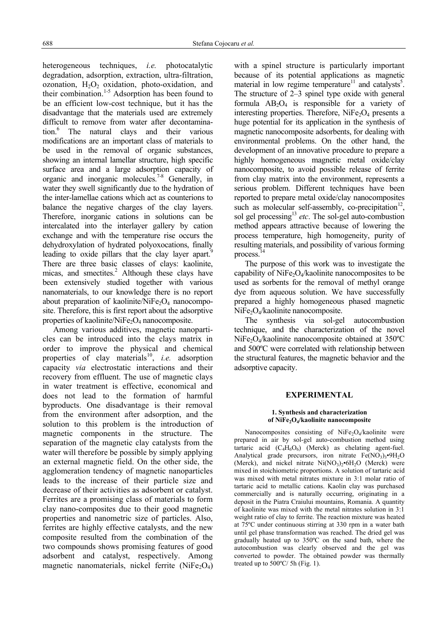heterogeneous techniques, *i.e.* photocatalytic degradation, adsorption, extraction, ultra-filtration, ozonation,  $H_2O_2$  oxidation, photo-oxidation, and their combination.<sup>1-5</sup> Adsorption has been found to be an efficient low-cost technique, but it has the disadvantage that the materials used are extremely difficult to remove from water after decontamination.<sup>6</sup> The natural clays and their various modifications are an important class of materials to be used in the removal of organic substances, showing an internal lamellar structure, high specific surface area and a large adsorption capacity of organic and inorganic molecules.7-8 Generally, in water they swell significantly due to the hydration of the inter-lamellae cations which act as counterions to balance the negative charges of the clay layers. Therefore, inorganic cations in solutions can be intercalated into the interlayer gallery by cation exchange and with the temperature rise occurs the dehydroxylation of hydrated polyoxocations, finally leading to oxide pillars that the clay layer apart.<sup>9</sup> There are three basic classes of clays: kaolinite, micas, and smectites. $^{2}$  Although these clays have been extensively studied together with various nanomaterials, to our knowledge there is no report about preparation of kaolinite/NiFe<sub>2</sub>O<sub>4</sub> nanocomposite. Therefore, this is first report about the adsorptive properties of kaolinite/NiFe<sub>2</sub>O<sub>4</sub> nanocomposite.

Among various additives, magnetic nanoparticles can be introduced into the clays matrix in order to improve the physical and chemical properties of clay materials<sup>10</sup>, *i.e.* adsorption capacity *via* electrostatic interactions and their recovery from effluent. The use of magnetic clays in water treatment is effective, economical and does not lead to the formation of harmful byproducts. One disadvantage is their removal from the environment after adsorption, and the solution to this problem is the introduction of magnetic components in the structure. The separation of the magnetic clay catalysts from the water will therefore be possible by simply applying an external magnetic field. On the other side, the agglomeration tendency of magnetic nanoparticles leads to the increase of their particle size and decrease of their activities as adsorbent or catalyst. Ferrites are a promising class of materials to form clay nano-composites due to their good magnetic properties and nanometric size of particles. Also, ferrites are highly effective catalysts, and the new composite resulted from the combination of the two compounds shows promising features of good adsorbent and catalyst, respectively. Among magnetic nanomaterials, nickel ferrite  $(NiFe<sub>2</sub>O<sub>4</sub>)$  with a spinel structure is particularly important because of its potential applications as magnetic material in low regime temperature<sup>11</sup> and catalysts<sup>5</sup>. The structure of 2–3 spinel type oxide with general formula  $AB_2O_4$  is responsible for a variety of interesting properties. Therefore,  $NiFe<sub>2</sub>O<sub>4</sub>$  presents a huge potential for its application in the synthesis of magnetic nanocomposite adsorbents, for dealing with environmental problems. On the other hand, the development of an innovative procedure to prepare a highly homogeneous magnetic metal oxide/clay nanocomposite, to avoid possible release of ferrite from clay matrix into the environment, represents a serious problem. Different techniques have been reported to prepare metal oxide/clay nanocomposites such as molecular self-assembly, co-precipitation<sup>12</sup>, sol gel processing<sup>13</sup> *etc*. The sol-gel auto-combustion method appears attractive because of lowering the process temperature, high homogeneity, purity of resulting materials, and possibility of various forming process. $1$ 

The purpose of this work was to investigate the capability of  $NiFe<sub>2</sub>O<sub>4</sub>/kaolinite nanocomposites to be$ used as sorbents for the removal of methyl orange dye from aqueous solution. We have successfully prepared a highly homogeneous phased magnetic NiFe<sub>2</sub>O<sub>4</sub>/kaolinite nanocomposite.

The synthesis via sol-gel autocombustion technique, and the characterization of the novel NiFe<sub>2</sub>O<sub>4</sub>/kaolinite nanocomposite obtained at  $350^{\circ}$ C and 500ºC were correlated with relationship between the structural features, the magnetic behavior and the adsorptive capacity.

### **EXPERIMENTAL**

#### **1. Synthesis and characterization**  of NiFe<sub>2</sub>O<sub>4</sub>/kaolinite nanocomposite

Nanocomposites consisting of NiFe<sub>2</sub>O<sub>4</sub>/kaolinite were prepared in air by sol-gel auto-combustion method using tartaric acid  $(C_4H_6O_6)$  (Merck) as chelating agent-fuel. Analytical grade precursors, iron nitrate  $Fe(NO<sub>3</sub>)<sub>3</sub>•9H<sub>2</sub>O$ (Merck), and nickel nitrate  $Ni(NO<sub>3</sub>)<sub>2</sub>•6H<sub>2</sub>O$  (Merck) were mixed in stoichiometric proportions. A solution of tartaric acid was mixed with metal nitrates mixture in 3:1 molar ratio of tartaric acid to metallic cations. Kaolin clay was purchased commercially and is naturally occurring, originating in a deposit in the Piatra Craiului mountains, Romania. A quantity of kaolinite was mixed with the metal nitrates solution in 3:1 weight ratio of clay to ferrite. The reaction mixture was heated at 75ºC under continuous stirring at 330 rpm in a water bath until gel phase transformation was reached. The dried gel was gradually heated up to 350ºC on the sand bath, where the autocombustion was clearly observed and the gel was converted to powder. The obtained powder was thermally treated up to  $500^{\circ}$ C/ 5h (Fig. 1).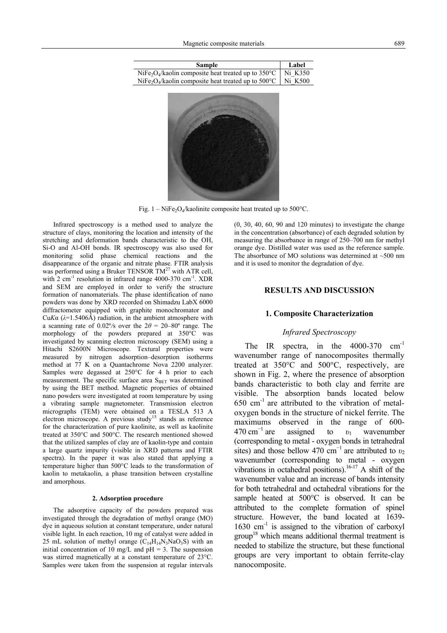| <b>Sample</b>                                                                          | Label   |
|----------------------------------------------------------------------------------------|---------|
| NiFe <sub>2</sub> O <sub>4</sub> /kaolin composite heat treated up to $350^{\circ}$ C  | Ni K350 |
| NiFe <sub>2</sub> O <sub>4</sub> /kaolin composite heat treated up to 500 $^{\circ}$ C | Ni K500 |
|                                                                                        |         |
|                                                                                        |         |
|                                                                                        |         |



Fig.  $1 - \text{NiFe}_2\text{O}_4/\text{k}$ aolinite composite heat treated up to 500°C.

Infrared spectroscopy is a method used to analyze the structure of clays, monitoring the location and intensity of the stretching and deformation bands characteristic to the OH, Si-O and Al-OH bonds. IR spectroscopy was also used for monitoring solid phase chemical reactions and the disappearance of the organic and nitrate phase. FTIR analysis was performed using a Bruker TENSOR  $TM^{27}$  with ATR cell, with 2 cm<sup>-1</sup> resolution in infrared range 4000-370 cm<sup>-1</sup>. XDR and SEM are employed in order to verify the structure formation of nanomaterials. The phase identification of nano powders was done by XRD recorded on Shimadzu LabX 6000 diffractometer equipped with graphite monochromator and Cu*K* $\alpha$  ( $\lambda$ =1.5406Å) radiation, in the ambient atmosphere with a scanning rate of 0.02% over the  $2\theta = 20-80^{\circ}$  range. The morphology of the powders prepared at 350°C was investigated by scanning electron microscopy (SEM) using a Hitachi S2600N Microscope. Textural properties were measured by nitrogen adsorption–desorption isotherms method at 77 K on a Quantachrome Nova 2200 analyzer. Samples were degassed at 250°C for 4 h prior to each measurement. The specific surface area  $S<sub>BET</sub>$  was determined by using the BET method. Magnetic properties of obtained nano powders were investigated at room temperature by using a vibrating sample magnetometer. Transmission electron micrographs (TEM) were obtained on a TESLA 513 A electron microscope. A previous study<sup>15</sup> stands as reference for the characterization of pure kaolinite, as well as kaolinite treated at 350°C and 500°C. The research mentioned showed that the utilized samples of clay are of kaolin-type and contain a large quartz impurity (visible in XRD patterns and FTIR spectra). In the paper it was also stated that applying a temperature higher than 500°C leads to the transformation of kaolin to metakaolin, a phase transition between crystalline and amorphous.

#### **2. Adsorption procedure**

The adsorptive capacity of the powders prepared was investigated through the degradation of methyl orange (MO) dye in aqueous solution at constant temperature, under natural visible light. In each reaction, 10 mg of catalyst were added in 25 mL solution of methyl orange  $(C_{14}H_{14}N_3NaO_3S)$  with an initial concentration of 10 mg/L and  $pH = 3$ . The suspension was stirred magnetically at a constant temperature of 23°C. Samples were taken from the suspension at regular intervals (0, 30, 40, 60, 90 and 120 minutes) to investigate the change in the concentration (absorbance) of each degraded solution by measuring the absorbance in range of 250–700 nm for methyl orange dye. Distilled water was used as the reference sample. The absorbance of MO solutions was determined at  $~500$  nm and it is used to monitor the degradation of dye.

### **RESULTS AND DISCUSSION**

#### **1. Composite Characterization**

### *Infrared Spectroscopy*

The IR spectra, in the 4000-370 cm<sup>-1</sup> wavenumber range of nanocomposites thermally treated at 350°C and 500°C, respectively, are shown in Fig. 2, where the presence of absorption bands characteristic to both clay and ferrite are visible. The absorption bands located below  $650 \text{ cm}^{-1}$  are attributed to the vibration of metaloxygen bonds in the structure of nickel ferrite. The maximums observed in the range of 600-  $470 \text{ cm}^{-1}$  are assigned to  $v_1$  wavenumber (corresponding to metal - oxygen bonds in tetrahedral sites) and those bellow 470 cm<sup>-1</sup> are attributed to  $v_2$ wavenumber (corresponding to metal - oxygen vibrations in octahedral positions).<sup>16-17</sup> A shift of the wavenumber value and an increase of bands intensity for both tetrahedral and octahedral vibrations for the sample heated at 500°C is observed. It can be attributed to the complete formation of spinel structure. However, the band located at 1639-  $1630$  cm<sup>-1</sup> is assigned to the vibration of carboxyl group<sup>18</sup> which means additional thermal treatment is needed to stabilize the structure, but these functional groups are very important to obtain ferrite-clay nanocomposite.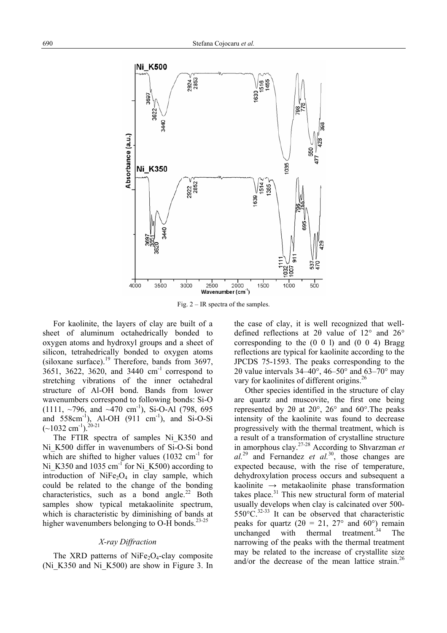

Fig. 2 – IR spectra of the samples.

For kaolinite, the layers of clay are built of a sheet of aluminum octahedrically bonded to oxygen atoms and hydroxyl groups and a sheet of silicon, tetrahedrically bonded to oxygen atoms (siloxane surface).<sup>19</sup> Therefore, bands from 3697,  $3651, 3622, 3620,$  and  $3440 \text{ cm}^{-1}$  correspond to stretching vibrations of the inner octahedral structure of Al-OH bond. Bands from lower wavenumbers correspond to following bonds: Si-O (1111, ~796, and ~470 cm<sup>-1</sup>), Si-O-Al (798, 695) and  $558 \text{cm}^{-1}$ ), Al-OH (911 cm<sup>-1</sup>), and Si-O-Si  $(-1032 \text{ cm}^{-1})$ . <sup>20-21</sup>

The FTIR spectra of samples Ni\_K350 and Ni K500 differ in wavenumbers of Si-O-Si bond which are shifted to higher values  $(1032 \text{ cm}^{-1} \text{ for }$ Ni\_K350 and 1035 cm<sup>-1</sup> for Ni\_K500) according to introduction of  $NiFe<sub>2</sub>O<sub>4</sub>$  in clay sample, which could be related to the change of the bonding characteristics, such as a bond angle.<sup>22</sup> Both samples show typical metakaolinite spectrum, which is characteristic by diminishing of bands at higher wavenumbers belonging to  $O-H$  bonds.<sup>23-25</sup>

### *X-ray Diffraction*

The XRD patterns of NiFe<sub>2</sub>O<sub>4</sub>-clay composite (Ni\_K350 and Ni\_K500) are show in Figure 3. In the case of clay, it is well recognized that welldefined reflections at 2θ value of 12° and 26° corresponding to the (0 0 l) and (0 0 4) Bragg reflections are typical for kaolinite according to the JPCDS 75-1593. The peaks corresponding to the 2θ value intervals  $34-40^\circ$ ,  $46-50^\circ$  and  $63-70^\circ$  may vary for kaolinites of different origins.<sup>26</sup>

Other species identified in the structure of clay are quartz and muscovite, the first one being represented by 2θ at 20°, 26° and 60°.The peaks intensity of the kaolinite was found to decrease progressively with the thermal treatment, which is a result of a transformation of crystalline structure in amorphous clay.27-28 According to Shvarzman *et al.*29 and Fernandez *et al.*30, those changes are expected because, with the rise of temperature, dehydroxylation process occurs and subsequent a kaolinite  $\rightarrow$  metakaolinite phase transformation takes place. $31$  This new structural form of material usually develops when clay is calcinated over 500-  $550^{\circ}$ C.<sup>32-33</sup> It can be observed that characteristic peaks for quartz ( $2\theta = 21$ ,  $27^\circ$  and  $60^\circ$ ) remain unchanged with thermal treatment. $34$  The narrowing of the peaks with the thermal treatment may be related to the increase of crystallite size and/or the decrease of the mean lattice strain.<sup>26</sup>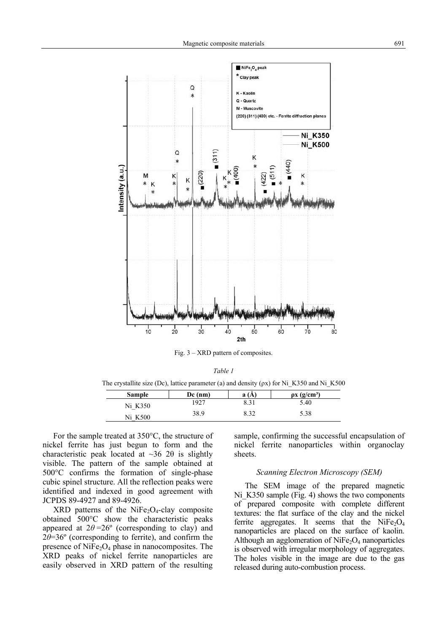

Fig. 3 – XRD pattern of composites.

*Table 1*

The crystallite size (Dc), lattice parameter (a) and density ( $\rho$ x) for Ni K350 and Ni K500

| <b>Sample</b> | $Dc$ (nm) | a    | $\rho$ x (g/cm <sup>3</sup> ) |
|---------------|-----------|------|-------------------------------|
| Ni K350       | 1927      | 8.31 | 5.40                          |
| K500<br>Ni    | 38.9      | 8.32 | 5.38                          |

For the sample treated at 350°C, the structure of nickel ferrite has just begun to form and the characteristic peak located at  $~36$  20 is slightly visible. The pattern of the sample obtained at 500°C confirms the formation of single-phase cubic spinel structure. All the reflection peaks were identified and indexed in good agreement with JCPDS 89-4927 and 89-4926.

 $XRD$  patterns of the NiFe<sub>2</sub>O<sub>4</sub>-clay composite obtained 500°C show the characteristic peaks appeared at  $2\theta = 26^{\circ}$  (corresponding to clay) and  $2\theta = 36^\circ$  (corresponding to ferrite), and confirm the presence of  $NiFe<sub>2</sub>O<sub>4</sub>$  phase in nanocomposites. The XRD peaks of nickel ferrite nanoparticles are easily observed in XRD pattern of the resulting sample, confirming the successful encapsulation of nickel ferrite nanoparticles within organoclay sheets.

### *Scanning Electron Microscopy (SEM)*

The SEM image of the prepared magnetic Ni K350 sample (Fig. 4) shows the two components of prepared composite with complete different textures: the flat surface of the clay and the nickel ferrite aggregates. It seems that the  $NiFe<sub>2</sub>O<sub>4</sub>$ nanoparticles are placed on the surface of kaolin. Although an agglomeration of  $NiFe<sub>2</sub>O<sub>4</sub>$  nanoparticles is observed with irregular morphology of aggregates. The holes visible in the image are due to the gas released during auto-combustion process.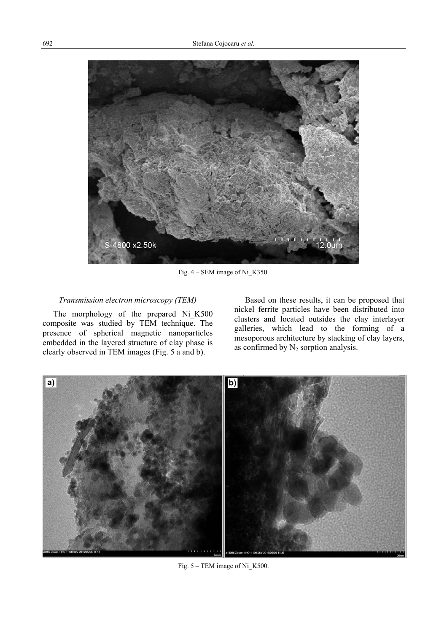

Fig. 4 – SEM image of Ni\_K350.

### *Transmission electron microscopy (TEM)*

The morphology of the prepared Ni\_K500 composite was studied by TEM technique. The presence of spherical magnetic nanoparticles embedded in the layered structure of clay phase is clearly observed in TEM images (Fig. 5 a and b).

Based on these results, it can be proposed that nickel ferrite particles have been distributed into clusters and located outsides the clay interlayer galleries, which lead to the forming of a mesoporous architecture by stacking of clay layers, as confirmed by  $N_2$  sorption analysis.



Fig. 5 – TEM image of Ni K500.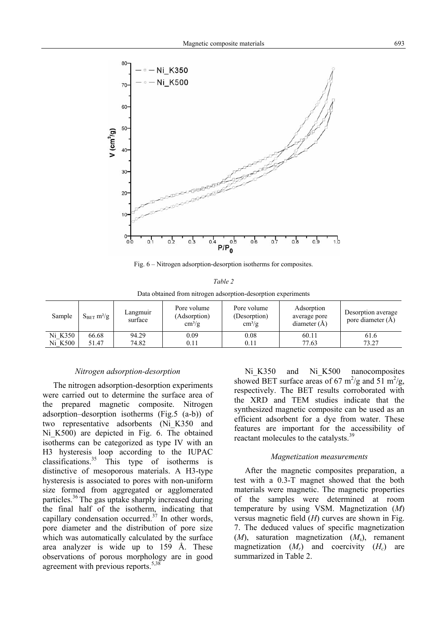

Fig. 6 – Nitrogen adsorption-desorption isotherms for composites.

| Table 2                                                       |  |
|---------------------------------------------------------------|--|
| Data obtained from nitrogen adsorption-desorption experiments |  |

| Sample  | $S_{BET}$ m <sup>2</sup> /g | Langmuir<br>surface | Pore volume<br>(Adsorption)<br>$\text{cm}^3/\text{g}$ | Pore volume<br>(Desorption)<br>$\text{cm}^3/\text{g}$ | Adsorption<br>average pore<br>diameter $(A)$ | Desorption average<br>pore diameter (A) |
|---------|-----------------------------|---------------------|-------------------------------------------------------|-------------------------------------------------------|----------------------------------------------|-----------------------------------------|
| Ni K350 | 66.68                       | 94.29               | 0.09                                                  | 0.08                                                  | 60.11                                        | 61.6                                    |
| Ni K500 | 51.47                       | 74.82               | 0.11                                                  | 0.11                                                  | 77.63                                        | 73.27                                   |

### *Nitrogen adsorption-desorption*

The nitrogen adsorption-desorption experiments were carried out to determine the surface area of the prepared magnetic composite. Nitrogen adsorption–desorption isotherms (Fig.5 (a-b)) of two representative adsorbents (Ni\_K350 and Ni<sub>K500</sub>) are depicted in Fig. 6. The obtained isotherms can be categorized as type IV with an H3 hysteresis loop according to the IUPAC classifications.<sup>35</sup> This type of isotherms is distinctive of mesoporous materials. A H3-type hysteresis is associated to pores with non-uniform size formed from aggregated or agglomerated particles.<sup>36</sup> The gas uptake sharply increased during the final half of the isotherm, indicating that capillary condensation occurred.<sup> $37$ </sup> In other words, pore diameter and the distribution of pore size which was automatically calculated by the surface area analyzer is wide up to 159 Å. These observations of porous morphology are in good agreement with previous reports. $5,38$ 

Ni<sub>K350</sub> and Ni<sub>K500</sub> nanocomposites showed BET surface areas of 67  $\text{m}^2/\text{g}$  and 51  $\text{m}^2/\text{g}$ , respectively. The BET results corroborated with the XRD and TEM studies indicate that the synthesized magnetic composite can be used as an efficient adsorbent for a dye from water. These features are important for the accessibility of reactant molecules to the catalysts.<sup>39</sup>

### *Magnetization measurements*

After the magnetic composites preparation, a test with a 0.3-T magnet showed that the both materials were magnetic. The magnetic properties of the samples were determined at room temperature by using VSM. Magnetization (*M*) versus magnetic field (*H*) curves are shown in Fig. 7. The deduced values of specific magnetization (*M*), saturation magnetization (*M*s), remanent magnetization  $(M_r)$  and coercivity  $(H_c)$  are summarized in Table 2.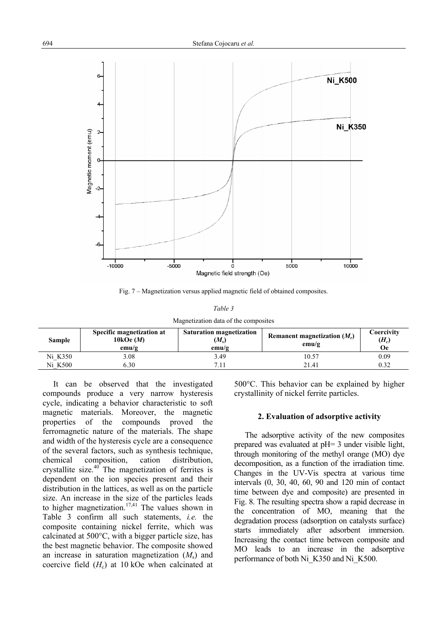

Fig. 7 – Magnetization versus applied magnetic field of obtained composites.

| Table 3                              |  |
|--------------------------------------|--|
| Magnetization data of the composites |  |

| Sample  | Specific magnetization at<br>10 $k$ Oe $(M)$<br>emu/g | <b>Saturation magnetization</b><br>$(M_{\rm s})$<br>emu/g | Remanent magnetization $(M_r)$<br>emu/g | Coercivitv<br>$(H_c)$<br>Оe |
|---------|-------------------------------------------------------|-----------------------------------------------------------|-----------------------------------------|-----------------------------|
| Ni K350 | 3.08                                                  | 3.49                                                      | 10.57                                   | 0.09                        |
| Ni K500 | 5.30                                                  | 71                                                        | 21.41                                   | 0.32                        |

It can be observed that the investigated compounds produce a very narrow hysteresis cycle, indicating a behavior characteristic to soft magnetic materials. Moreover, the magnetic properties of the compounds proved the ferromagnetic nature of the materials. The shape and width of the hysteresis cycle are a consequence of the several factors, such as synthesis technique, chemical composition, cation distribution, crystallite size. $40$  The magnetization of ferrites is dependent on the ion species present and their distribution in the lattices, as well as on the particle size. An increase in the size of the particles leads to higher magnetization.<sup>17,41</sup> The values shown in Table 3 confirm all such statements, *i.e.* the composite containing nickel ferrite, which was calcinated at 500°C, with a bigger particle size, has the best magnetic behavior. The composite showed an increase in saturation magnetization (*M*s) and coercive field  $(H_c)$  at 10 kOe when calcinated at

500°C. This behavior can be explained by higher crystallinity of nickel ferrite particles.

### **2. Evaluation of adsorptive activity**

The adsorptive activity of the new composites prepared was evaluated at pH= 3 under visible light, through monitoring of the methyl orange (MO) dye decomposition, as a function of the irradiation time. Changes in the UV-Vis spectra at various time intervals (0, 30, 40, 60, 90 and 120 min of contact time between dye and composite) are presented in Fig. 8. The resulting spectra show a rapid decrease in the concentration of MO, meaning that the degradation process (adsorption on catalysts surface) starts immediately after adsorbent immersion. Increasing the contact time between composite and MO leads to an increase in the adsorptive performance of both Ni\_K350 and Ni\_K500.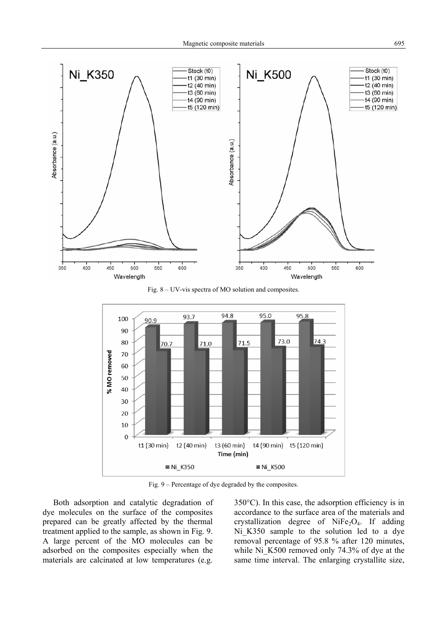

Fig. 8 – UV-vis spectra of MO solution and composites.



Fig. 9 – Percentage of dye degraded by the composites.

Both adsorption and catalytic degradation of dye molecules on the surface of the composites prepared can be greatly affected by the thermal treatment applied to the sample, as shown in Fig. 9. A large percent of the MO molecules can be adsorbed on the composites especially when the materials are calcinated at low temperatures (e.g.

350°C). In this case, the adsorption efficiency is in accordance to the surface area of the materials and crystallization degree of  $NiFe<sub>2</sub>O<sub>4</sub>$ . If adding Ni K350 sample to the solution led to a dye removal percentage of 95.8 % after 120 minutes, while Ni K500 removed only 74.3% of dye at the same time interval. The enlarging crystallite size,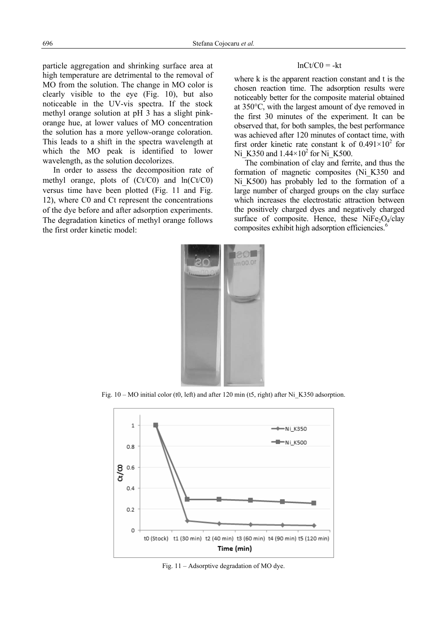particle aggregation and shrinking surface area at high temperature are detrimental to the removal of MO from the solution. The change in MO color is clearly visible to the eye (Fig. 10), but also noticeable in the UV-vis spectra. If the stock methyl orange solution at pH 3 has a slight pinkorange hue, at lower values of MO concentration the solution has a more yellow-orange coloration. This leads to a shift in the spectra wavelength at which the MO peak is identified to lower wavelength, as the solution decolorizes.

In order to assess the decomposition rate of methyl orange, plots of (Ct/C0) and ln(Ct/C0) versus time have been plotted (Fig. 11 and Fig. 12), where C0 and Ct represent the concentrations of the dye before and after adsorption experiments. The degradation kinetics of methyl orange follows the first order kinetic model:

### $lnCt/CO = -kt$

where k is the apparent reaction constant and t is the chosen reaction time. The adsorption results were noticeably better for the composite material obtained at 350°C, with the largest amount of dye removed in the first 30 minutes of the experiment. It can be observed that, for both samples, the best performance was achieved after 120 minutes of contact time, with first order kinetic rate constant k of  $0.491 \times 10^2$  for Ni<sub>\_</sub>K350 and  $1.44 \times 10^2$  for Ni\_K500.

The combination of clay and ferrite, and thus the formation of magnetic composites (Ni\_K350 and Ni K500) has probably led to the formation of a large number of charged groups on the clay surface which increases the electrostatic attraction between the positively charged dyes and negatively charged surface of composite. Hence, these  $NiFe<sub>2</sub>O<sub>4</sub>/clay$ composites exhibit high adsorption efficiencies.<sup>6</sup>



Fig. 10 – MO initial color (t0, left) and after 120 min (t5, right) after Ni K350 adsorption.



Fig. 11 – Adsorptive degradation of MO dye.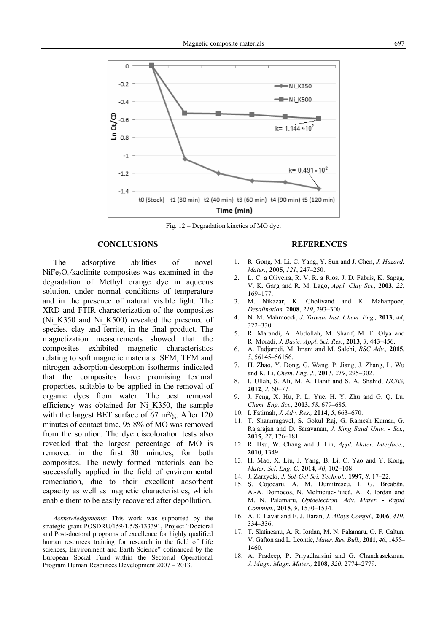

Fig. 12 – Degradation kinetics of MO dye.

### **CONCLUSIONS**

The adsorptive abilities of novel  $NiFe<sub>2</sub>O<sub>4</sub>/kaolinite composites was examined in the$ degradation of Methyl orange dye in aqueous solution, under normal conditions of temperature and in the presence of natural visible light. The XRD and FTIR characterization of the composites (Ni\_K350 and Ni\_K500) revealed the presence of species, clay and ferrite, in the final product. The magnetization measurements showed that the composites exhibited magnetic characteristics relating to soft magnetic materials. SEM, TEM and nitrogen adsorption-desorption isotherms indicated that the composites have promising textural properties, suitable to be applied in the removal of organic dyes from water. The best removal efficiency was obtained for Ni\_K350, the sample with the largest BET surface of 67 m<sup>2</sup>/g. After 120 minutes of contact time, 95.8% of MO was removed from the solution. The dye discoloration tests also revealed that the largest percentage of MO is removed in the first 30 minutes, for both composites. The newly formed materials can be successfully applied in the field of environmental remediation, due to their excellent adsorbent capacity as well as magnetic characteristics, which enable them to be easily recovered after depollution.

*Acknowledgements*: This work was supported by the strategic grant POSDRU/159/1.5/S/133391, Project "Doctoral and Post-doctoral programs of excellence for highly qualified human resources training for research in the field of Life sciences, Environment and Earth Science" cofinanced by the European Social Fund within the Sectorial Operational Program Human Resources Development 2007 – 2013.

#### **REFERENCES**

- 1. R. Gong, M. Li, C. Yang, Y. Sun and J. Chen, *J. Hazard. Mater.,* **2005**, *121*, 247–250.
- 2. L. C. a Oliveira, R. V. R. a Rios, J. D. Fabris, K. Sapag, V. K. Garg and R. M. Lago, *Appl. Clay Sci.,* **2003**, *22*, 169–177.
- 3. M. Nikazar, K. Gholivand and K. Mahanpoor, *Desalination,* **2008**, *219*, 293–300.
- 4. N. M. Mahmoodi, *J. Taiwan Inst. Chem. Eng.,* **2013**, *44*, 322–330.
- 5. R. Marandi, A. Abdollah, M. Sharif, M. E. Olya and R. Moradi, *J. Basic. Appl. Sci. Res.*, **2013**, *3*, 443–456.
- 6. A. Tadjarodi, M. Imani and M. Salehi, *RSC Adv.,* **2015**, *5*, 56145–56156.
- 7. H. Zhao, Y. Dong, G. Wang, P. Jiang, J. Zhang, L. Wu and K. Li, *Chem. Eng. J.,* **2013**, *219*, 295–302.
- 8. I. Ullah, S. Ali, M. A. Hanif and S. A. Shahid, *IJCBS,* **2012**, *2*, 60–77.
- 9. J. Feng, X. Hu, P. L. Yue, H. Y. Zhu and G. Q. Lu, *Chem. Eng. Sci.,* **2003**, *58*, 679–685.
- 10. I. Fatimah, *J. Adv. Res.,* **2014**, *5*, 663–670.
- 11. T. Shanmugavel, S. Gokul Raj, G. Ramesh Kumar, G. Rajarajan and D. Saravanan, *J. King Saud Univ. - Sci.,* **2015**, *27*, 176–181.
- 12. R. Hsu, W. Chang and J. Lin, *Appl. Mater. Interface.,* **2010**, 1349.
- 13. H. Mao, X. Liu, J. Yang, B. Li, C. Yao and Y. Kong, *Mater. Sci. Eng. C,* **2014**, *40*, 102–108.
- 14. J. Zarzycki, *J. Sol-Gel Sci. Technol.,* **1997**, *8*, 17–22.
- 15. Ş. Cojocaru, A. M. Dumitrescu, I. G. Breabăn, A.-A. Domocos, N. Melniciuc-Puică, A. R. Iordan and M. N. Palamaru, *Optoelectron. Adv. Mater. - Rapid Commun.,* **2015**, *9*, 1530–1534.
- 16. A. E. Lavat and E. J. Baran, *J. Alloys Compd.,* **2006**, *419*, 334–336.
- 17. T. Slatineanu, A. R. Iordan, M. N. Palamaru, O. F. Caltun, V. Gafton and L. Leontie, *Mater. Res. Bull.,* **2011**, *46*, 1455– 1460.
- 18. A. Pradeep, P. Priyadharsini and G. Chandrasekaran, *J. Magn. Magn. Mater.,* **2008**, *320*, 2774–2779.